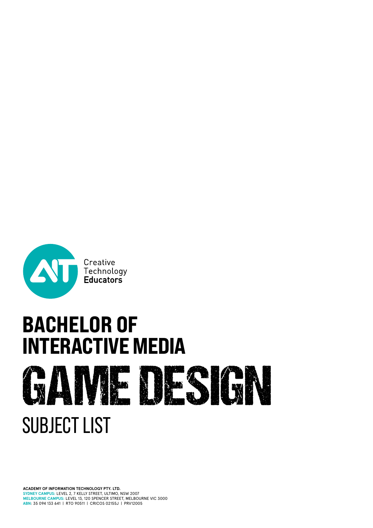

# **BACHELOR OF<br>INTERACTIVE MEDIA** GAME DESIGN SUBJECT LIST

**ACADEMY OF INFORMATION TECHNOLOGY PTY. LTD. SYDNEY CAMPUS:** LEVEL 2, 7 KELLY STREET, ULTIMO, NSW 2007 **MELBOURNE CAMPUS:** LEVEL 13, 120 SPENCER STREET, MELBOURNE VIC 3000 **ABN**: 35 094 133 641 | RTO 90511 | CRICOS 02155J | PRV12005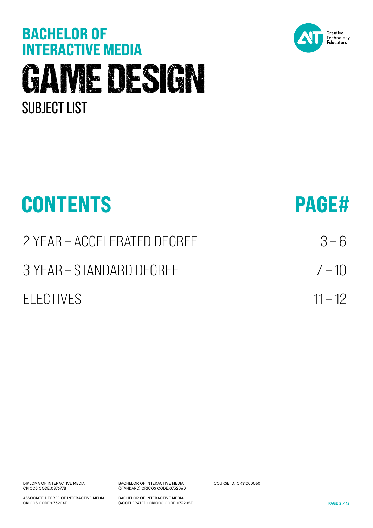# **BACHELOR OF<br>INTERACTIVE MEDIA** GAME DESIGN SUBJECT LIST



| <b>CONTENTS</b>             | <b>PAGE#</b> |
|-----------------------------|--------------|
| 2 YEAR - ACCELERATED DEGREE | $3 - 6$      |
| 3 YEAR – STANDARD DEGREE    | $7 - 10$     |
| <b>FLECTIVES</b>            | $11 - 12$    |

DIPLOMA OF INTERACTIVE MEDIA CRICOS CODE:087677B

ASSOCIATE DEGREE OF INTERACTIVE MEDIA CRICOS CODE:073204F

BACHELOR OF INTERACTIVE MEDIA (STANDARD) CRICOS CODE:073206D

BACHELOR OF INTERACTIVE MEDIA (ACCELERATED) CRICOS CODE:073205E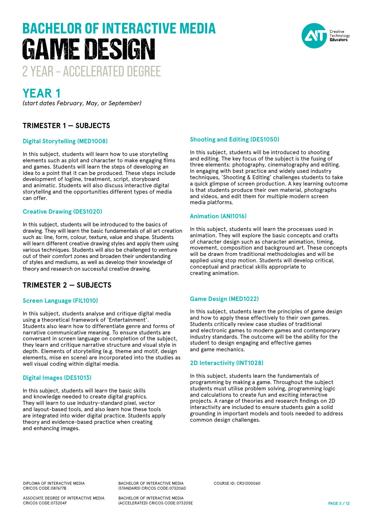# 2 YEAR – ACCELERATED DEGREE BACHELOR OF INTERACTIVE MEDIA GAME DESIGN



### **YEAR 1**

*(start dates February, May, or September)*

#### **TRIMESTER 1 — SUBJECTS**

#### **Digital Storytelling (MED1008)**

In this subject, students will learn how to use storytelling elements such as plot and character to make engaging films and games. Students will learn the steps of developing an idea to a point that it can be produced. These steps include development of logline, treatment, script, storyboard and animatic. Students will also discuss interactive digital storytelling and the opportunities different types of media can offer.

#### **Creative Drawing (DES1020)**

In this subject, students will be introduced to the basics of drawing. They will learn the basic fundamentals of all art creation such as: line, form, colour, texture, value and shape. Students will learn different creative drawing styles and apply them using various techniques. Students will also be challenged to venture out of their comfort zones and broaden their understanding of styles and mediums, as well as develop their knowledge of theory and research on successful creative drawing.

#### **TRIMESTER 2 — SUBJECTS**

#### **Screen Language (FIL1010)**

In this subject, students analyse and critique digital media using a theoretical framework of 'Entertainment'. Students also learn how to differentiate genre and forms of narrative communicative meaning. To ensure students are conversant in screen language on completion of the subject, they learn and critique narrative structure and visual style in depth. Elements of storytelling (e.g. theme and motif, design elements, mise en scene) are incorporated into the studies as well visual coding within digital media.

#### **Digital Images (DES1013)**

In this subject, students will learn the basic skills and knowledge needed to create digital graphics. They will learn to use industry-standard pixel, vector and layout-based tools, and also learn how these tools are integrated into wider digital practice. Students apply theory and evidence-based practice when creating and enhancing images.

#### **Shooting and Editing (DES1050)**

In this subject, students will be introduced to shooting and editing. The key focus of the subject is the fusing of three elements: photography, cinematography and editing. In engaging with best practice and widely used industry techniques, 'Shooting & Editing' challenges students to take a quick glimpse of screen production. A key learning outcome is that students produce their own material, photographs and videos, and edit them for multiple modern screen media platforms.

#### **Animation (ANI1016)**

In this subject, students will learn the processes used in animation. They will explore the basic concepts and crafts of character design such as character animation, timing, movement, composition and background art. These concepts will be drawn from traditional methodologies and will be applied using stop motion. Students will develop critical, conceptual and practical skills appropriate to creating animation.

#### **Game Design (MED1022)**

In this subject, students learn the principles of game design and how to apply these effectively to their own games. Students critically review case studies of traditional and electronic games to modern games and contemporary industry standards. The outcome will be the ability for the student to design engaging and effective games and game mechanics.

#### **2D Interactivity (INT1028)**

In this subject, students learn the fundamentals of programming by making a game. Throughout the subject students must utilise problem solving, programming logic and calculations to create fun and exciting interactive projects. A range of theories and research findings on 2D interactivity are included to ensure students gain a solid grounding in important models and tools needed to address common design challenges.

DIPLOMA OF INTERACTIVE MEDIA CRICOS CODE:087677B

ASSOCIATE DEGREE OF INTERACTIVE MEDIA CRICOS CODE:073204F

BACHELOR OF INTERACTIVE MEDIA (STANDARD) CRICOS CODE:073206D

BACHELOR OF INTERACTIVE MEDIA (ACCELERATED) CRICOS CODE:073205E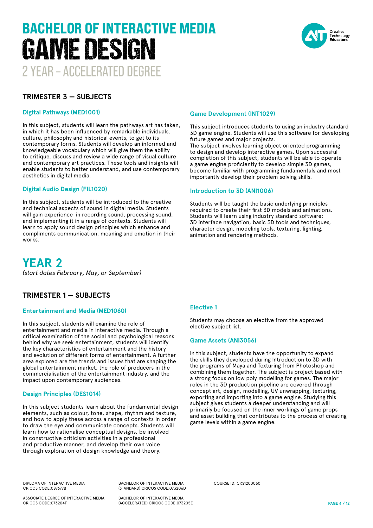# 2 YEAR – ACCELERATED DEGREE BACHELOR OF INTERACTIVE MEDIA GAME DESIGN



#### **TRIMESTER 3 — SUBJECTS**

#### **Digital Pathways (MED1001)**

In this subject, students will learn the pathways art has taken, in which it has been influenced by remarkable individuals, culture, philosophy and historical events, to get to its contemporary forms. Students will develop an informed and knowledgeable vocabulary which will give them the ability to critique, discuss and review a wide range of visual culture and contemporary art practices. These tools and insights will enable students to better understand, and use contemporary aesthetics in digital media.

#### **Digital Audio Design (FIL1020)**

In this subject, students will be introduced to the creative and technical aspects of sound in digital media. Students will gain experience in recording sound, processing sound, and implementing it in a range of contexts. Students will learn to apply sound design principles which enhance and compliments communication, meaning and emotion in their works.

#### **Game Development (INT1029)**

This subject introduces students to using an industry standard 3D game engine. Students will use this software for developing future games and major projects.

The subject involves learning object oriented programming to design and develop interactive games. Upon successful completion of this subject, students will be able to operate a game engine proficiently to develop simple 3D games, become familiar with programming fundamentals and most importantly develop their problem solving skills.

#### **Introduction to 3D (ANI1006)**

Students will be taught the basic underlying principles required to create their first 3D models and animations. Students will learn using industry standard software: 3D interface navigation, basic 3D tools and techniques, character design, modeling tools, texturing, lighting, animation and rendering methods.

**YEAR 2** *(start dates February, May, or September)*

#### **TRIMESTER 1 — SUBJECTS**

#### **Entertainment and Media (MED1060)**

In this subject, students will examine the role of entertainment and media in interactive media. Through a critical examination of the social and psychological reasons behind why we seek entertainment, students will identify the key characteristics of entertainment and the history and evolution of different forms of entertainment. A further area explored are the trends and issues that are shaping the global entertainment market, the role of producers in the commercialisation of the entertainment industry, and the impact upon contemporary audiences.

#### **Design Principles (DES1014)**

In this subject students learn about the fundamental design elements, such as colour, tone, shape, rhythm and texture, and how to apply these across a range of contexts in order to draw the eye and communicate concepts. Students will learn how to rationalise conceptual designs, be involved in constructive criticism activities in a professional and productive manner, and develop their own voice through exploration of design knowledge and theory.

#### **Elective 1**

Students may choose an elective from the approved elective subject list.

#### **Game Assets (ANI3056)**

In this subject, students have the opportunity to expand the skills they developed during Introduction to 3D with the programs of Maya and Texturing from Photoshop and combining them together. The subject is project based with a strong focus on low poly modelling for games. The major roles in the 3D production pipeline are covered through concept art, design, modelling, UV unwrapping, texturing, exporting and importing into a game engine. Studying this subject gives students a deeper understanding and will primarily be focused on the inner workings of game props and asset building that contributes to the process of creating game levels within a game engine.

DIPLOMA OF INTERACTIVE MEDIA CRICOS CODE:087677B

BACHELOR OF INTERACTIVE MEDIA (STANDARD) CRICOS CODE:073206D

ASSOCIATE DEGREE OF INTERACTIVE MEDIA CRICOS CODE:073204F

BACHELOR OF INTERACTIVE MEDIA (ACCELERATED) CRICOS CODE:073205E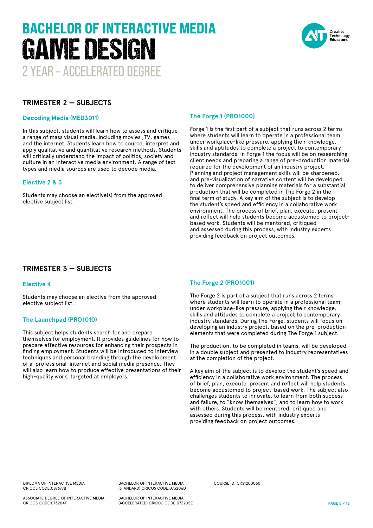# 2 YEAR – ACCELERATED DEGREE BACHELOR OF INTERACTIVE MEDIA GAME DESIGN



#### **TRIMESTER 2 — SUBJECTS**

#### **Decoding Media (MED3011)**

In this subject, students will learn how to assess and critique a range of mass visual media, including movies ,TV, games and the internet. Students learn how to source, interpret and apply qualitative and quantitative research methods. Students will critically understand the impact of politics, society and culture in an interactive media environment. A range of text types and media sources are used to decode media.

#### **Elective 2 & 3**

Students may choose an elective(s) from the approved elective subject list.

#### **The Forge 1 (PRO1000)**

Forge 1 is the first part of a subject that runs across 2 terms where students will learn to operate in a professional team under workplace-like pressure, applying their knowledge, skills and aptitudes to complete a project to contemporary industry standards. In Forge 1 the focus will be on researching client needs and preparing a range of pre-production material required for the development of an industry project. Planning and project management skills will be sharpened, and pre-visualization of narrative content will be developed to deliver comprehensive planning materials for a substantial production that will be completed in The Forge 2 in the final term of study. A key aim of the subject is to develop the student's speed and efficiency in a collaborative work environment. The process of brief, plan, execute, present and reflect will help students become accustomed to projectbased work. Students will be mentored, critiqued and assessed during this process, with industry experts providing feedback on project outcomes.

#### **TRIMESTER 3 — SUBJECTS**

#### **Elective 4**

Students may choose an elective from the approved elective subject list.

#### **The Launchpad (PRO1010)**

This subject helps students search for and prepare themselves for employment. It provides guidelines for how to prepare effective resources for enhancing their prospects in finding employment. Students will be introduced to interview techniques and personal branding through the development of a professional internet and social media presence. They will also learn how to produce effective presentations of their high-quality work, targeted at employers.

#### **The Forge 2 (PRO1001)**

The Forge 2 is part of a subject that runs across 2 terms, where students will learn to operate in a professional team, under workplace-like pressure, applying their knowledge, skills and attitudes to complete a project to contemporary industry standards. During The Forge, students will focus on developing an industry project, based on the pre-production elements that were completed during The Forge 1 subject.

The production, to be completed in teams, will be developed in a double subject and presented to industry representatives at the completion of the project.

A key aim of the subject is to develop the student's speed and efficiency in a collaborative work environment. The process of brief, plan, execute, present and reflect will help students become accustomed to project-based work. The subject also challenges students to innovate, to learn from both success and failure, to "know themselves", and to learn how to work with others. Students will be mentored, critiqued and assessed during this process, with industry experts providing feedback on project outcomes.

DIPLOMA OF INTERACTIVE MEDIA CRICOS CODE:087677B

ASSOCIATE DEGREE OF INTERACTIVE MEDIA CRICOS CODE:073204F

BACHELOR OF INTERACTIVE MEDIA (STANDARD) CRICOS CODE:073206D

BACHELOR OF INTERACTIVE MEDIA (ACCELERATED) CRICOS CODE:073205E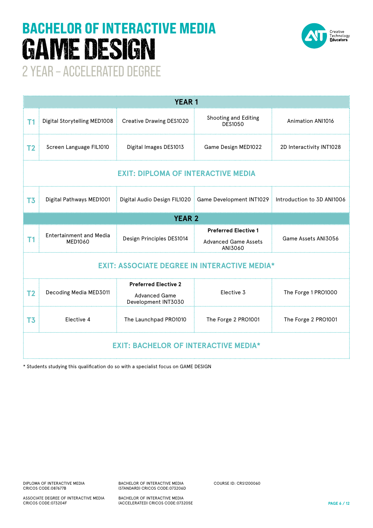# BACHELOR OF INTERACTIVE MEDIA GAME DESIGN



2 YEAR – ACCELERATED DEGREE

| <b>YEAR1</b>                                        |                                           |                                                                            |                                                                                      |                          |  |  |
|-----------------------------------------------------|-------------------------------------------|----------------------------------------------------------------------------|--------------------------------------------------------------------------------------|--------------------------|--|--|
| <b>T1</b>                                           | Digital Storytelling MED1008              | Creative Drawing DES1020                                                   | Shooting and Editing<br><b>DES1050</b>                                               | <b>Animation ANI1016</b> |  |  |
| T <sub>2</sub>                                      | Screen Language FIL1010                   | Digital Images DES1013<br>Game Design MED1022                              |                                                                                      | 2D Interactivity INT1028 |  |  |
| <b>EXIT: DIPLOMA OF INTERACTIVE MEDIA</b>           |                                           |                                                                            |                                                                                      |                          |  |  |
| T <sub>3</sub>                                      | Digital Pathways MED1001                  |                                                                            | Digital Audio Design FIL1020   Game Development INT1029   Introduction to 3D ANI1006 |                          |  |  |
| <b>YEAR 2</b>                                       |                                           |                                                                            |                                                                                      |                          |  |  |
| T1                                                  | <b>Entertainment and Media</b><br>MED1060 | Design Principles DES1014                                                  | <b>Preferred Elective 1</b><br><b>Advanced Game Assets</b><br>ANI3060                | Game Assets ANI3056      |  |  |
| <b>EXIT: ASSOCIATE DEGREE IN INTERACTIVE MEDIA*</b> |                                           |                                                                            |                                                                                      |                          |  |  |
| T <sub>2</sub>                                      | Decoding Media MED3011                    | <b>Preferred Elective 2</b><br><b>Advanced Game</b><br>Development INT3030 | Elective 3                                                                           | The Forge 1 PRO1000      |  |  |
| T <sub>3</sub>                                      | Elective 4                                | The Launchpad PRO1010                                                      | The Forge 2 PRO1001                                                                  | The Forge 2 PRO1001      |  |  |
| <b>EXIT: BACHELOR OF INTERACTIVE MEDIA*</b>         |                                           |                                                                            |                                                                                      |                          |  |  |

\* Students studying this qualification do so with a specialist focus on GAME DESIGN

CRICOS CODE:073204F

ASSOCIATE DEGREE OF INTERACTIVE MEDIA

BACHELOR OF INTERACTIVE MEDIA (STANDARD) CRICOS CODE:073206D

BACHELOR OF INTERACTIVE MEDIA (ACCELERATED) CRICOS CODE:073205E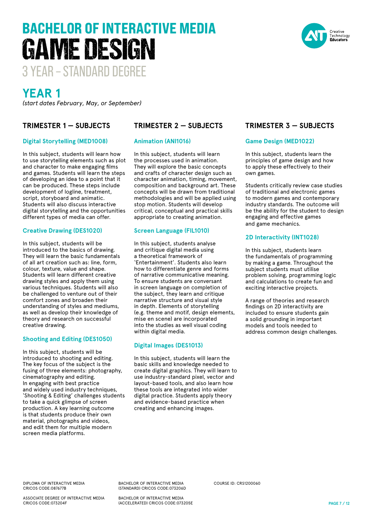#### DIPLOMA OF INTERACTIVE MEDIA CRICOS CODE:087677B

ASSOCIATE DEGREE OF INTERACTIVE MEDIA CRICOS CODE:073204F

BACHELOR OF INTERACTIVE MEDIA (STANDARD) CRICOS CODE:073206D

BACHELOR OF INTERACTIVE MEDIA (ACCELERATED) CRICOS CODE:073205E

**PAGE 7 / 12**

## **YEAR 1**

*(start dates February, May, or September)*

3 YEAR – STANDARD DEGREE

GAME DESIGN

BACHELOR OF INTERACTIVE MEDIA

#### **TRIMESTER 1 — SUBJECTS**

#### **Digital Storytelling (MED1008)**

In this subject, students will learn how to use storytelling elements such as plot and character to make engaging films and games. Students will learn the steps of developing an idea to a point that it can be produced. These steps include development of logline, treatment, script, storyboard and animatic. Students will also discuss interactive digital storytelling and the opportunities different types of media can offer.

#### **Creative Drawing (DES1020)**

In this subject, students will be introduced to the basics of drawing. They will learn the basic fundamentals of all art creation such as: line, form, colour, texture, value and shape. Students will learn different creative drawing styles and apply them using various techniques. Students will also be challenged to venture out of their comfort zones and broaden their understanding of styles and mediums, as well as develop their knowledge of theory and research on successful creative drawing.

#### **Shooting and Editing (DES1050)**

In this subject, students will be introduced to shooting and editing. The key focus of the subject is the fusing of three elements: photography, cinematography and editing. In engaging with best practice and widely used industry techniques, 'Shooting & Editing' challenges students to take a quick glimpse of screen production. A key learning outcome is that students produce their own material, photographs and videos, and edit them for multiple modern screen media platforms.

#### **TRIMESTER 2 — SUBJECTS**

#### **Animation (ANI1016)**

In this subject, students will learn the processes used in animation. They will explore the basic concepts and crafts of character design such as character animation, timing, movement, composition and background art. These concepts will be drawn from traditional methodologies and will be applied using stop motion. Students will develop critical, conceptual and practical skills appropriate to creating animation.

#### **Screen Language (FIL1010)**

In this subject, students analyse and critique digital media using a theoretical framework of 'Entertainment'. Students also learn how to differentiate genre and forms of narrative communicative meaning. To ensure students are conversant in screen language on completion of the subject, they learn and critique narrative structure and visual style in depth. Elements of storytelling (e.g. theme and motif, design elements, mise en scene) are incorporated into the studies as well visual coding within digital media.

#### **Digital Images (DES1013)**

In this subject, students will learn the basic skills and knowledge needed to create digital graphics. They will learn to use industry-standard pixel, vector and layout-based tools, and also learn how these tools are integrated into wider digital practice. Students apply theory and evidence-based practice when creating and enhancing images.

COURSE ID: CRS1200060

#### **TRIMESTER 3 — SUBJECTS**

#### **Game Design (MED1022)**

In this subject, students learn the principles of game design and how to apply these effectively to their own games.

Students critically review case studies of traditional and electronic games to modern games and contemporary industry standards. The outcome will be the ability for the student to design engaging and effective games and game mechanics.

#### **2D Interactivity (INT1028)**

In this subject, students learn the fundamentals of programming by making a game. Throughout the subject students must utilise problem solving, programming logic and calculations to create fun and exciting interactive projects.

A range of theories and research findings on 2D interactivity are included to ensure students gain a solid grounding in important models and tools needed to address common design challenges.

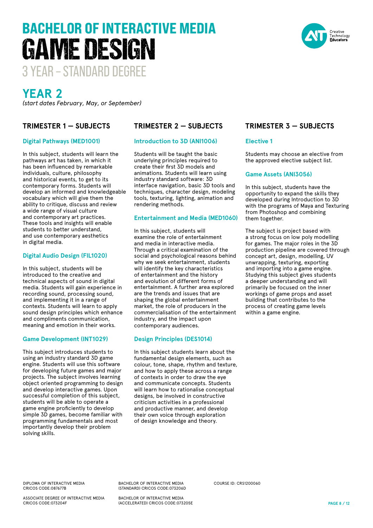#### DIPLOMA OF INTERACTIVE MEDIA CRICOS CODE:087677B

ASSOCIATE DEGREE OF INTERACTIVE MEDIA CRICOS CODE:073204F

BACHELOR OF INTERACTIVE MEDIA (STANDARD) CRICOS CODE:073206D

BACHELOR OF INTERACTIVE MEDIA (ACCELERATED) CRICOS CODE:073205E

COURSE ID: CRS1200060



BACHELOR OF INTERACTIVE MEDIA



### **YEAR 2**

*(start dates February, May, or September)*

GAME DESIGN

#### **TRIMESTER 1 — SUBJECTS**

#### **Digital Pathways (MED1001)**

In this subject, students will learn the pathways art has taken, in which it has been influenced by remarkable individuals, culture, philosophy and historical events, to get to its contemporary forms. Students will develop an informed and knowledgeable vocabulary which will give them the ability to critique, discuss and review a wide range of visual culture and contemporary art practices. These tools and insights will enable students to better understand, and use contemporary aesthetics in digital media.

#### **Digital Audio Design (FIL1020)**

In this subject, students will be introduced to the creative and technical aspects of sound in digital media. Students will gain experience in recording sound, processing sound, and implementing it in a range of contexts. Students will learn to apply sound design principles which enhance and compliments communication, meaning and emotion in their works.

#### **Game Development (INT1029)**

This subject introduces students to using an industry standard 3D game engine. Students will use this software for developing future games and major projects. The subject involves learning object oriented programming to design and develop interactive games. Upon successful completion of this subject, students will be able to operate a game engine proficiently to develop simple 3D games, become familiar with programming fundamentals and most importantly develop their problem solving skills.

#### **TRIMESTER 2 — SUBJECTS**

#### **Introduction to 3D (ANI1006)**

Students will be taught the basic underlying principles required to create their first 3D models and animations. Students will learn using industry standard software: 3D interface navigation, basic 3D tools and techniques, character design, modeling tools, texturing, lighting, animation and rendering methods.

#### **Entertainment and Media (MED1060)**

In this subject, students will examine the role of entertainment and media in interactive media. Through a critical examination of the social and psychological reasons behind why we seek entertainment, students will identify the key characteristics of entertainment and the history and evolution of different forms of entertainment. A further area explored are the trends and issues that are shaping the global entertainment market, the role of producers in the commercialisation of the entertainment industry, and the impact upon contemporary audiences.

#### **Design Principles (DES1014)**

In this subject students learn about the fundamental design elements, such as colour, tone, shape, rhythm and texture, and how to apply these across a range of contexts in order to draw the eye and communicate concepts. Students will learn how to rationalise conceptual designs, be involved in constructive criticism activities in a professional and productive manner, and develop their own voice through exploration of design knowledge and theory.

#### **TRIMESTER 3 — SUBJECTS**

#### **Elective 1**

Students may choose an elective from the approved elective subject list.

#### **Game Assets (ANI3056)**

In this subject, students have the opportunity to expand the skills they developed during Introduction to 3D with the programs of Maya and Texturing from Photoshop and combining them together.

The subject is project based with a strong focus on low poly modelling for games. The major roles in the 3D production pipeline are covered through concept art, design, modelling, UV unwrapping, texturing, exporting and importing into a game engine. Studying this subject gives students a deeper understanding and will primarily be focused on the inner workings of game props and asset building that contributes to the process of creating game levels within a game engine.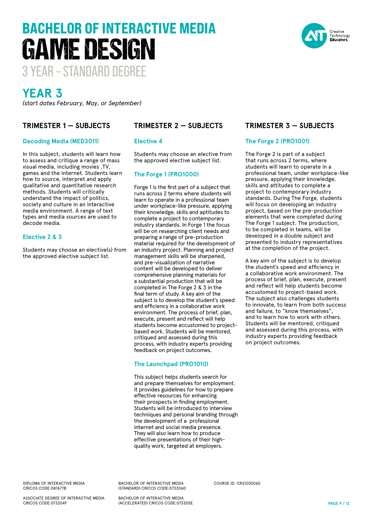#### DIPLOMA OF INTERACTIVE MEDIA CRICOS CODE:087677B

ASSOCIATE DEGREE OF INTERACTIVE MEDIA CRICOS CODE:073204F

BACHELOR OF INTERACTIVE MEDIA (STANDARD) CRICOS CODE:073206D

BACHELOR OF INTERACTIVE MEDIA (ACCELERATED) CRICOS CODE:073205E

# **YEAR 3**

*(start dates February, May, or September)*

3 YEAR – STANDARD DEGREE

GAME DESIGN

BACHELOR OF INTERACTIVE MEDIA

#### **TRIMESTER 1 — SUBJECTS**

#### **Decoding Media (MED3011)**

In this subject, students will learn how to assess and critique a range of mass visual media, including movies ,TV, games and the internet. Students learn how to source, interpret and apply qualitative and quantitative research methods. Students will critically understand the impact of politics, society and culture in an interactive media environment. A range of text types and media sources are used to decode media.

#### **Elective 2 & 3**

Students may choose an elective(s) from the approved elective subject list.

#### **TRIMESTER 2 — SUBJECTS**

#### **Elective 4**

Students may choose an elective from the approved elective subject list.

#### **The Forge 1 (PRO1000)**

Forge 1 is the first part of a subject that runs across 2 terms where students will learn to operate in a professional team under workplace-like pressure, applying their knowledge, skills and aptitudes to complete a project to contemporary industry standards. In Forge 1 the focus will be on researching client needs and preparing a range of pre-production material required for the development of an industry project. Planning and project management skills will be sharpened, and pre-visualization of narrative content will be developed to deliver comprehensive planning materials for a substantial production that will be completed in The Forge 2 & 3 in the final term of study. A key aim of the subject is to develop the student's speed and efficiency in a collaborative work environment. The process of brief, plan, execute, present and reflect will help students become accustomed to projectbased work. Students will be mentored, critiqued and assessed during this process, with industry experts providing feedback on project outcomes.

#### **The Launchpad (PRO1010)**

This subject helps students search for and prepare themselves for employment. It provides guidelines for how to prepare effective resources for enhancing their prospects in finding employment. Students will be introduced to interview techniques and personal branding through the development of a professional internet and social media presence. They will also learn how to produce effective presentations of their highquality work, targeted at employers.

COURSE ID: CRS1200060

#### **TRIMESTER 3 — SUBJECTS**

#### **The Forge 2 (PRO1001)**

The Forge 2 is part of a subject that runs across 2 terms, where students will learn to operate in a professional team, under workplace-like pressure, applying their knowledge, skills and attitudes to complete a project to contemporary industry standards. During The Forge, students will focus on developing an industry project, based on the pre-production elements that were completed during The Forge 1 subject. The production, to be completed in teams, will be developed in a double subject and presented to industry representatives at the completion of the project.

A key aim of the subject is to develop the student's speed and efficiency in a collaborative work environment. The process of brief, plan, execute, present and reflect will help students become accustomed to project-based work. The subject also challenges students to innovate, to learn from both success and failure, to "know themselves", and to learn how to work with others. Students will be mentored, critiqued and assessed during this process, with industry experts providing feedback on project outcomes.

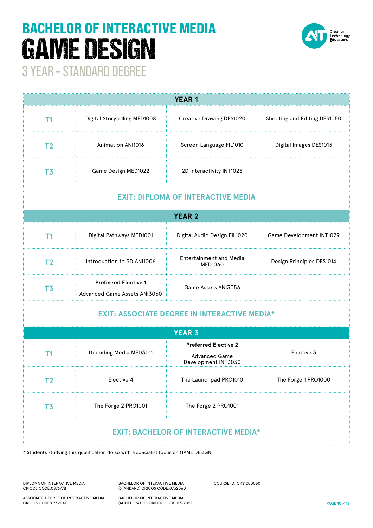# 3 YEAR – STANDARD DEGREE BACHELOR OF INTERACTIVE MEDIA GAME DESIGN



| <b>YEAR1</b>                                        |                                                             |                                                     |                              |  |  |  |
|-----------------------------------------------------|-------------------------------------------------------------|-----------------------------------------------------|------------------------------|--|--|--|
| T <sub>1</sub>                                      | Digital Storytelling MED1008                                | <b>Creative Drawing DES1020</b>                     | Shooting and Editing DES1050 |  |  |  |
| T <sub>2</sub>                                      | <b>Animation ANI1016</b>                                    | Screen Language FIL1010                             | Digital Images DES1013       |  |  |  |
| T <sub>3</sub>                                      | Game Design MED1022                                         | 2D Interactivity INT1028                            |                              |  |  |  |
| <b>EXIT: DIPLOMA OF INTERACTIVE MEDIA</b>           |                                                             |                                                     |                              |  |  |  |
| <b>YEAR 2</b>                                       |                                                             |                                                     |                              |  |  |  |
| T <sub>1</sub>                                      | Digital Pathways MED1001                                    | Digital Audio Design FIL1020                        | Game Development INT1029     |  |  |  |
| T <sub>2</sub>                                      | Introduction to 3D ANI1006                                  | <b>Entertainment and Media</b><br>MED1060           | Design Principles DES1014    |  |  |  |
| T <sub>3</sub>                                      | <b>Preferred Elective 1</b><br>Advanced Game Assets ANI3060 | Game Assets ANI3056                                 |                              |  |  |  |
| <b>EXIT: ASSOCIATE DEGREE IN INTERACTIVE MEDIA*</b> |                                                             |                                                     |                              |  |  |  |
| <b>YEAR 3</b>                                       |                                                             |                                                     |                              |  |  |  |
| Τ1                                                  | Decoding Media MED3011                                      | <b>Preferred Elective 2</b><br><b>Advanced Game</b> | Elective 3                   |  |  |  |

\* Students studying this qualification do so with a specialist focus on GAME DESIGN

DIPLOMA OF INTERACTIVE MEDIA CRICOS CODE:087677B

BACHELOR OF INTERACTIVE MEDIA (STANDARD) CRICOS CODE:073206D

**T3** The Forge 2 PRO1001 The Forge 2 PRO1001

COURSE ID: CRS1200060

Development INT3030

**T2** Elective 4 **The Launchpad PRO1010** The Forge 1 PRO1000

**EXIT: BACHELOR OF INTERACTIVE MEDIA\***

ASSOCIATE DEGREE OF INTERACTIVE MEDIA CRICOS CODE:073204F

BACHELOR OF INTERACTIVE MEDIA (ACCELERATED) CRICOS CODE:073205E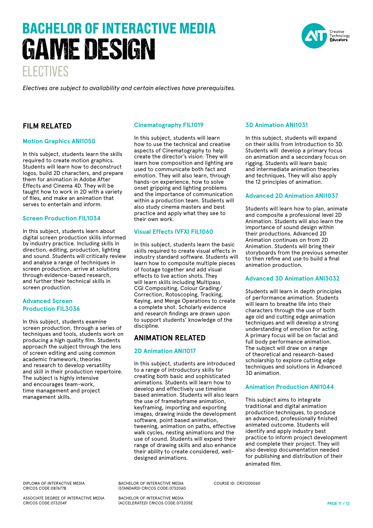# ELECTIVES BACHELOR OF INTERACTIVE MEDIA GAME DESIGN

reative Technology<br>**Educators** 

*Electives are subject to availability and certain electives have prerequisites.* 

#### **FILM RELATED**

#### **Motion Graphics ANI1050**

In this subject, students learn the skills required to create motion graphics. Students will learn how to deconstruct logos, build 2D characters, and prepare them for animation in Adobe After Effects and Cinema 4D. They will be taught how to work in 2D with a variety of files, and make an animation that serves to entertain and inform.

#### **Screen Production FIL1034**

In this subject, students learn about digital screen production skills informed by industry practice. Including skills in direction, editing, production, lighting and sound. Students will critically review and analyse a range of techniques in screen production, arrive at solutions through evidence-based research, and further their technical skills in screen production.

#### **Advanced Screen Production FIL3036**

In this subject, students examine screen production, through a series of techniques and tools, students work on producing a high quality film. Students approach the subject through the lens of screen editing and using common academic framework, theories and research to develop versatility and skill in their production repertoire. The subject is highly intensive and encourages team-work, time management and project management skills.

#### **Cinematography FIL1019**

In this subject, students will learn how to use the technical and creative aspects of Cinematography to help create the director's vision. They will learn how composition and lighting are used to communicate both fact and emotion. They will also learn, through hands-on experience, how to solve onset gripping and lighting problems and the importance of communication within a production team. Students will also study cinema masters and best practice and apply what they see to their own work.

#### **Visual Effects (VFX) FIL1060**

In this subject, students learn the basic skills required to create visual effects in industry standard software. Students will learn how to composite multiple pieces of footage together and add visual effects to live action shots. They will learn skills including Multipass CGI Compositing, Colour Grading/ Correction, Rotoscoping, Tracking, Keying, and Merge Operations to create a complete shot. Scholarly evidence and research findings are drawn upon to support students' knowledge of the discipline.

#### **ANIMATION RELATED**

#### **2D Animation ANI1017**

In this subject, students are introduced to a range of introductory skills for creating both basic and sophisticated animations. Students will learn how to develop and effectively use timeline based animation. Students will also learn the use of framebyframe animation, keyframing, importing and exporting images, drawing inside the development software, point based animation, tweening, animation on paths, effective walk cycles, nesting animations and the use of sound. Students will expand their range of drawing skills and also enhance their ability to create considered, welldesigned animations.

#### **3D Animation ANI1031**

In this subject, students will expand on their skills from Introduction to 3D. Students will develop a primary focus on animation and a secondary focus on rigging. Students will learn basic and intermediate animation theories and techniques. They will also apply the 12 principles of animation.

#### **Advanced 2D Animation ANI1037**

Students will learn how to plan, animate and composite a professional level 2D Animation. Students will also learn the importance of sound design within their productions. Advanced 2D Animation continues on from 2D Animation. Students will bring their storyboards from the previous semester to then refine and use to build a final animation production.

#### **Advanced 3D Animation ANI3032**

Students will learn in depth principles of performance animation. Students will learn to breathe life into their characters through the use of both age old and cutting edge animation techniques and will develop a strong understanding of emotion for acting. A primary focus will be on facial and full body performance animation. The subject will draw on a range of theoretical and research-based scholarship to explore cutting edge techniques and solutions in Advanced 3D animation.

#### **Animation Production ANI1044**

This subject aims to integrate traditional and digital animation production techniques, to produce an advanced, professionally finished animated outcome. Students will identify and apply industry best practice to inform project development and complete their project. They will also develop documentation needed for publishing and distribution of their animated film.

DIPLOMA OF INTERACTIVE MEDIA CRICOS CODE:087677B

ASSOCIATE DEGREE OF INTERACTIVE MEDIA CRICOS CODE:073204F

BACHELOR OF INTERACTIVE MEDIA (STANDARD) CRICOS CODE:073206D